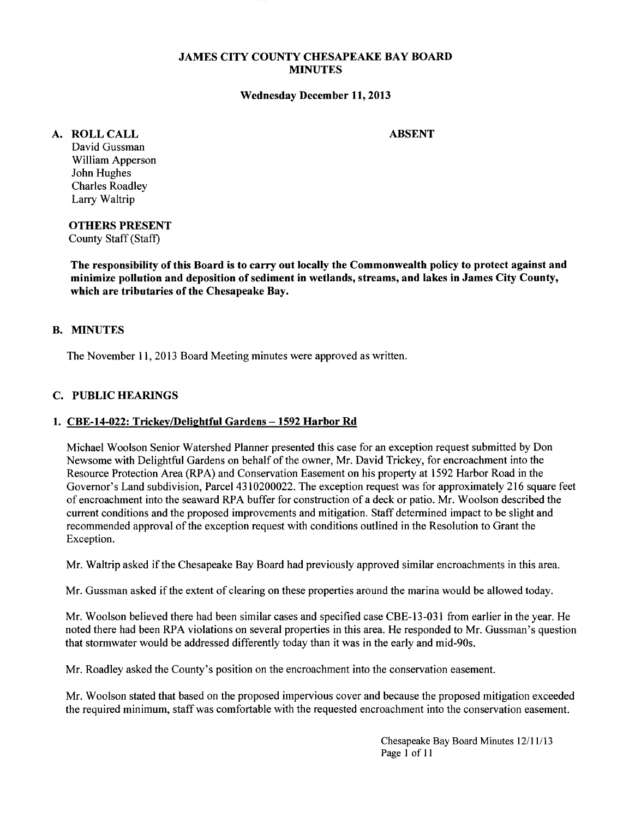### JAMES CITY COUNTY CHESAPEAKE BAY BOARD MINUTES

#### Wednesday December 11,2013

## A. ROLLCALL

ABSENT

David Gussman William Apperson John Hughes Charles Roadley Larry Waltrip

OTHERS PRESENT County Staff (Staff)

The responsibility of this Board is to carry out locally the Commonwealth policy to protect against and minimize pollution and deposition of sediment in wetlands, streams, and lakes in James City County, which are tributaries of the Chesapeake Bay.

# B. MINUTES

The November 11, 2013 Board Meeting minutes were approved as written.

## C. PUBLIC HEARINGS

#### 1. CBE-14-022: Trickey/Delightful Gardens - 1592 Harbor Rd

Michael Woolson Senior Watershed Planner presented this case for an exception request submitted by Don Newsome with Delightful Gardens on behalf of the owner, Mr. David Trickey, for encroachment into the Resource Protection Area (RPA) and Conservation Easement on his property at 1592 Harbor Road in the Governor's Land subdivision, Parcel 4310200022. The exception request was for approximately 216 square feet of encroachment into the seaward RPA buffer for construction of a deck or patio. Mr. Woolson described the current conditions and the proposed improvements and mitigation. Staff determined impact to be slight and recommended approval of the exception request with conditions outlined in the Resolution to Grant the Exception.

Mr. Waltrip asked if the Chesapeake Bay Board had previously approved similar encroachments in this area.

Mr. Gussman asked if the extent of clearing on these properties around the marina would be allowed today.

Mr. Woolson believed there had been similar cases and specified case CBE-13-031 from earlier in the year. He noted there had been RPA violations on several properties in this area. He responded to Mr. Gussman's question that stormwater would be addressed differently today than it was in the early and mid-90s.

Mr. Roadley asked the County's position on the encroachment into the conservation easement.

Mr. Woolson stated that based on the proposed impervious cover and because the proposed mitigation exceeded the required minimum, staff was comfortable with the requested encroachment into the conservation easement.

> Chesapeake Bay Board Minutes 12/11/13 Page 1 of 11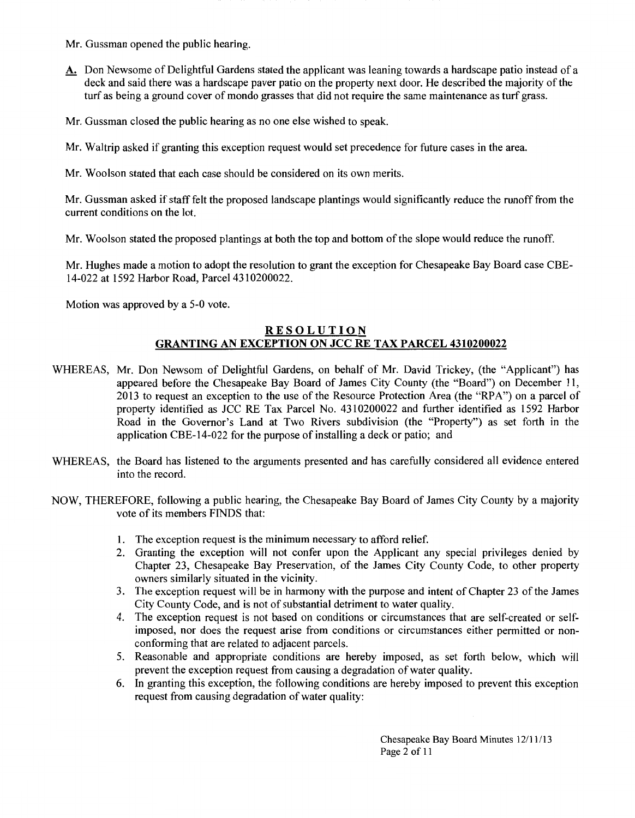- Mr. Gussman opened the public hearing.
- A. Don Newsome of Delightful Gardens stated the applicant was leaning towards a hardscape patio instead of a deck and said there was a hardscape paver patio on the property next door. He described the majority of the turf as being a ground cover of mondo grasses that did not require the same maintenance as turf grass.
- Mr. Gussman closed the public hearing as no one else wished to speak.

Mr. Waltrip asked if granting this exception request would set precedence for future cases in the area.

Mr. Woolson stated that each case should be considered on its own merits.

Mr. Gussman asked if staff felt the proposed landscape plantings would significantly reduce the runoff from the current conditions on the lot.

Mr. Woolson stated the proposed plantings at both the top and bottom of the slope would reduce the runoff.

Mr. Hughes made a motion to adopt the resolution to grant the exception for Chesapeake Bay Board case CBE-14-022 at 1592 Harbor Road, Parcel 4310200022.

Motion was approved by a 5-0 vote.

## **RESOLUTION GRANTING AN EXCEPTION ON JCC RE TAX PARCEL 4310200022**

- WHEREAS, Mr. Don Newsom of Delightful Gardens, on behalf of Mr. David Trickey, (the "Applicant") has appeared before the Chesapeake Bay Board of James City County (the "Board") on December 11, 2013 to request an exception to the use of the Resource Protection Area (the "RPA") on a parcel of property identified as JCC RE Tax Parcel No. 4310200022 and further identified as 1592 Harbor Road in the Governor's Land at Two Rivers subdivision (the "Property") as set forth in the application CBE-14-022 for the purpose of installing a deck or patio; and
- WHEREAS, the Board has listened to the arguments presented and has carefully considered all evidence entered into the record.
- NOW, THEREFORE, following a public hearing, the Chesapeake Bay Board of James City County by a majority vote of its members FINDS that:
	- **1.** The exception request is the minimum necessary to afford relief.
	- 2. Granting the exception will not confer upon the Applicant any special privileges denied by Chapter 23, Chesapeake Bay Preservation, of the James City County Code, to other property owners similarly situated in the vicinity.
	- 3. The exception request will be in harmony with the purpose and intent of Chapter 23 of the James City County Code, and is not of substantial detriment to water quality.
	- 4. The exception request is not based on conditions or circumstances that are self-created or selfimposed, nor does the request arise from conditions or circumstances either permitted or nonconforming that are related to adjacent parcels.
	- 5. Reasonable and appropriate conditions are hereby imposed, as set forth below, which will prevent the exception request from causing a degradation of water quality.
	- 6. In granting this exception, the following conditions are hereby imposed to prevent this exception request from causing degradation of water quality:

Chesapeake Bay Board Minutes 12/11/13 Page 2 of 11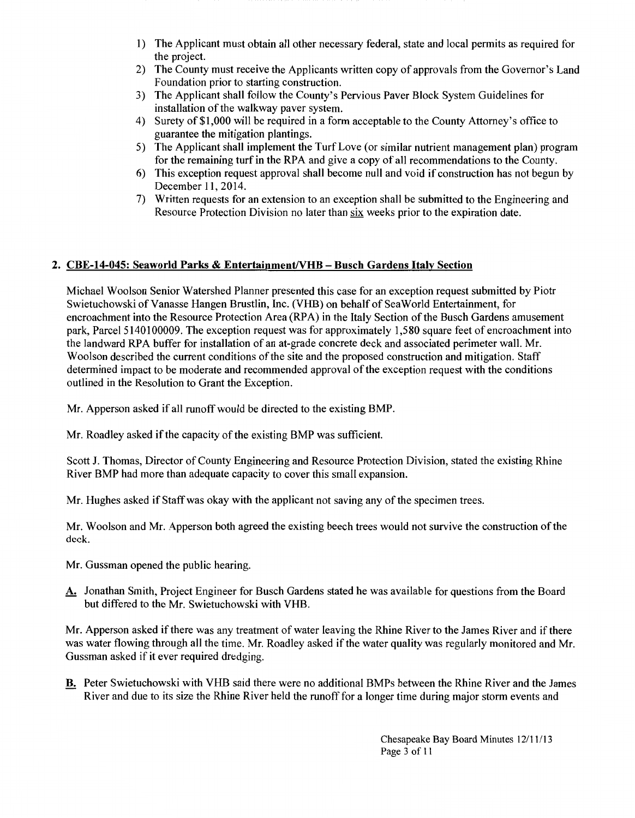- 1) The Applicant must obtain all other necessary federal, state and local permits as required for the project.
- 2) The County must receive the Applicants written copy of approvals from the Governor's Land Foundation prior to starting construction.
- 3) The Applicant shall follow the County's Pervious Paver Block System Guidelines for installation of the walkway paver system.
- 4) Surety of\$1,000 will be required in a form acceptable to the County Attorney's office to guarantee the mitigation plantings.
- 5) The Applicant shall implement the Turf Love (or similar nutrient management plan) program for the remaining turf in the RPA and give a copy of all recommendations to the County.
- 6) This exception request approval shall become null and void if construction has not begun by December 11, 2014.
- 7) Written requests for an extension to an exception shall be submitted to the Engineering and Resource Protection Division no later than six weeks prior to the expiration date.

# 2. CBE-14-045: Seaworld Parks & Entertainment/VHB - Busch Gardens Italy Section

Michael Woolson Senior Watershed Planner presented this case for an exception request submitted by Piotr Swietuchowski of Vanasse Hangen Brustlin, Inc. (VHB) on behalf of SeaWorld Entertainment, for encroachment into the Resource Protection Area (RPA) in the Italy Section of the Busch Gardens amusement park, Parcel 5140100009. The exception request was for approximately 1,580 square feet of encroachment into the landward RPA buffer for installation of an at-grade concrete deck and associated perimeter wall. Mr. Woolson described the current conditions of the site and the proposed construction and mitigation. Staff determined impact to be moderate and recommended approval of the exception request with the conditions outlined in the Resolution to Grant the Exception.

Mr. Apperson asked if all runoff would be directed to the existing BMP.

Mr. Roadley asked if the capacity of the existing BMP was sufficient.

Scott J. Thomas, Director of County Engineering and Resource Protection Division, stated the existing Rhine River BMP had more than adequate capacity to cover this small expansion.

Mr. Hughes asked if Staff was okay with the applicant not saving any of the specimen trees.

Mr. Woolson and Mr. Apperson both agreed the existing beech trees would not survive the construction ofthe deck.

- Mr. Gussman opened the public hearing.
- A. Jonathan Smith, Project Engineer for Busch Gardens stated he was available for questions from the Board but differed to the Mr. Swietuchowski with VHB.

Mr. Apperson asked if there was any treatment of water leaving the Rhine River to the James River and if there was water flowing through all the time. Mr. Roadley asked if the water quality was regularly monitored and Mr. Gussman asked if it ever required dredging.

B. Peter Swietuchowski with VHB said there were no additional BMPs between the Rhine River and the James River and due to its size the Rhine River held the runoff for a longer time during major storm events and

> Chesapeake Bay Board Minutes 12111/13 Page 3 of II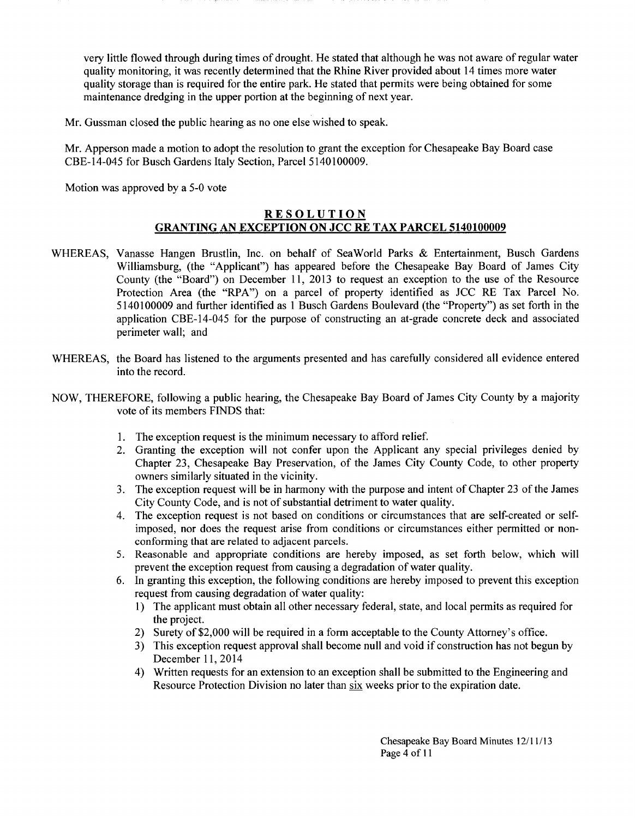very little flowed through during times of drought. He stated that although he was not aware of regular water quality monitoring, it was recently determined that the Rhine River provided about 14 times more water quality storage than is required for the entire park. He stated that permits were being obtained for some maintenance dredging in the upper portion at the beginning of next year.

Mr. Gussman closed the public hearing as no one else wished to speak.

Mr. Apperson made a motion to adopt the resolution to grant the exception for Chesapeake Bay Board case CBE-14-045 for Busch Gardens Italy Section, Parcel 5140100009.

Motion was approved by a 5-0 vote

## **RESOLUTION GRANTING AN EXCEPTION ON JCC RE TAX PARCEL 5140100009**

- WHEREAS, Vanasse Hangen Brustlin, Inc. on behalf of SeaWorld Parks & Entertainment, Busch Gardens Williamsburg, (the "Applicant") has appeared before the Chesapeake Bay Board of James City County (the "Board") on December 11, 2013 to request an exception to the use of the Resource Protection Area (the "RPA") on a parcel of property identified as JCC RE Tax Parcel No. 5140100009 and further identified as 1 Busch Gardens Boulevard (the "Property") as set forth in the application CBE-14-045 for the purpose of constructing an at-grade concrete deck and associated perimeter wall; and
- WHEREAS, the Board has listened to the arguments presented and has carefully considered all evidence entered into the record.
- NOW, THEREFORE, following a public hearing, the Chesapeake Bay Board of James City County by a majority vote of its members FINDS that:
	- 1. The exception request is the minimum necessary to afford relief.
	- 2. Granting the exception will not confer upon the Applicant any special privileges denied by Chapter 23, Chesapeake Bay Preservation, of the James City County Code, to other property owners similarly situated in the vicinity.
	- 3. The exception request will be in harmony with the purpose and intent of Chapter 23 of the James City County Code, and is not of substantial detriment to water quality.
	- 4. The exception request is not based on conditions or circumstances that are self-created or selfimposed, nor does the request arise from conditions or circumstances either permitted or nonconforming that are related to adjacent parcels.
	- 5. Reasonable and appropriate conditions are hereby imposed, as set forth below, which will prevent the exception request from causing a degradation of water quality.
	- 6. In granting this exception, the following conditions are hereby imposed to prevent this exception request from causing degradation of water quality:
		- 1) The applicant must obtain all other necessary federal, state, and local permits as required for the project.
		- 2) Surety of\$2,000 will be required in a form acceptable to the County Attorney's office.
		- 3) This exception request approval shall become null and void if construction has not begun by December 11, 2014
		- 4) Written requests for an extension to an exception shall be submitted to the Engineering and Resource Protection Division no later than six weeks prior to the expiration date.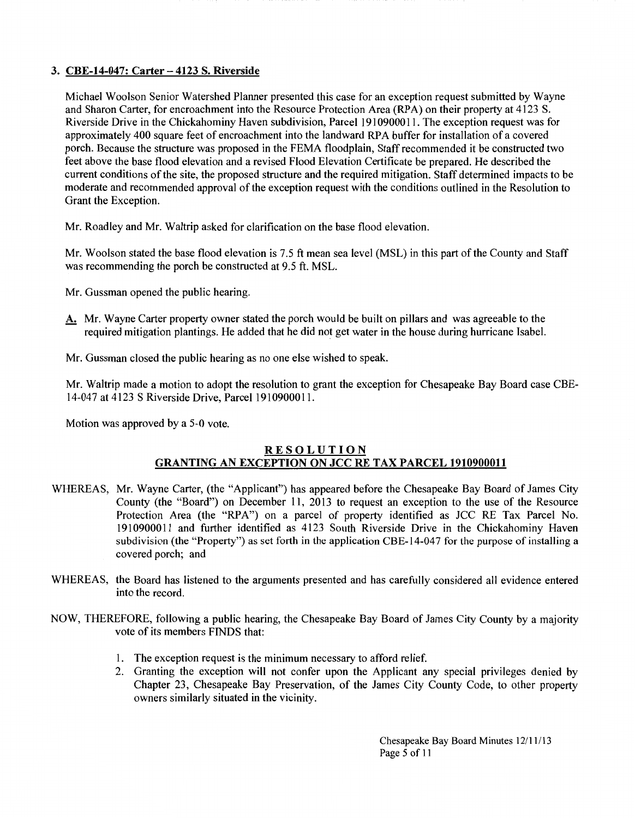# 3. CBE-14-047: Carter- 4123 S. Riverside

Michael Woolson Senior Watershed Planner presented this case for an exception request submitted by Wayne and Sharon Carter, for encroachment into the Resource Protection Area (RPA) on their property at 4I23 S. Riverside Drive in the Chickahominy Haven subdivision, Parcel 1910900011. The exception request was for approximately 400 square feet of encroachment into the landward RPA buffer for installation of a covered porch. Because the structure was proposed in the FEMA floodplain, Staff recommended it be constructed two feet above the base flood elevation and a revised Flood Elevation Certificate be prepared. He described the current conditions of the site, the proposed structure and the required mitigation. Staff determined impacts to be moderate and recommended approval of the exception request with the conditions outlined in the Resolution to Grant the Exception.

Mr. Roadley and Mr. Waltrip asked for clarification on the base flood elevation.

Mr. Woolson stated the base flood elevation is 7.5 ft mean sea level (MSL) in this part of the County and Staff was recommending the porch be constructed at 9.5 ft. MSL.

- Mr. Gussman opened the public hearing.
- A. Mr. Wayne Carter property owner stated the porch would be built on pillars and was agreeable to the required mitigation plantings. He added that he did not get water in the house during hurricane Isabel.

Mr. Gussman closed the public hearing as no one else wished to speak.

Mr. Waltrip made a motion to adopt the resolution to grant the exception for Chesapeake Bay Board case CBE-14-047 at 4123 S Riverside Drive, Parcel 1910900011.

Motion was approved by a 5-0 vote.

# RESOLUTION GRANTING AN EXCEPTION ON JCC RE TAX PARCEL 1910900011

- WHEREAS, Mr. Wayne Carter, (the "Applicant") has appeared before the Chesapeake Bay Board of James City County (the "Board") on December II, 2013 to request an exception to the use of the Resource Protection Area (the "RPA") on a parcel of property identified as JCC RE Tax Parcel No. I91 09000 II and further identified as 4I23 South Riverside Drive in the Chickahominy Haven subdivision (the "Property") as set forth in the application CBE-14-047 for the purpose of installing a covered porch; and
- WHEREAS, the Board has listened to the arguments presented and has carefully considered all evidence entered into the record.
- NOW, THEREFORE, following a public hearing, the Chesapeake Bay Board of James City County by a majority vote of its members FINDS that:
	- 1. The exception request is the minimum necessary to afford relief.
	- 2. Granting the exception will not confer upon the Applicant any special privileges denied by Chapter 23, Chesapeake Bay Preservation, of the James City County Code, to other property owners similarly situated in the vicinity.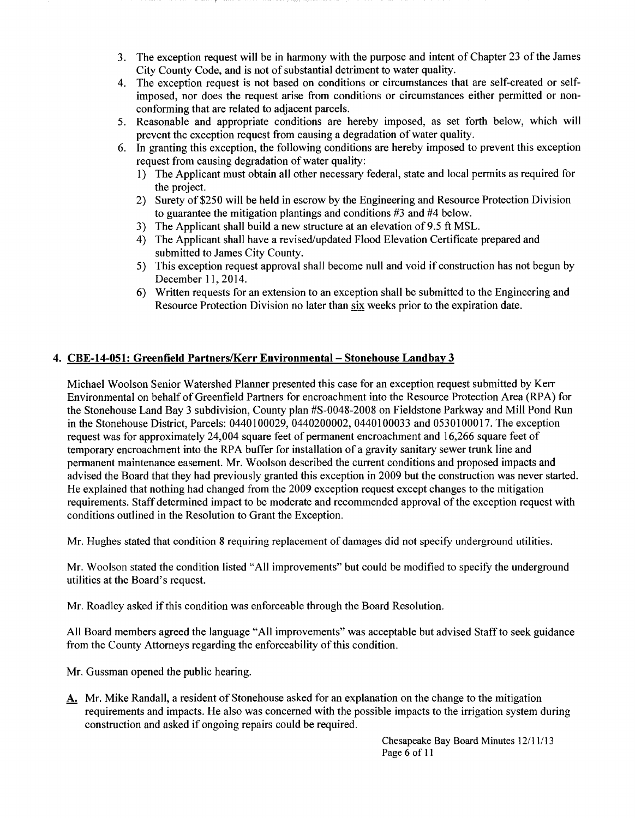- 3. The exception request will be in harmony with the purpose and intent of Chapter 23 of the James City County Code, and is not of substantial detriment to water quality.
- 4. The exception request is not based on conditions or circumstances that are self-created or selfimposed, nor does the request arise from conditions or circumstances either permitted or nonconforming that are related to adjacent parcels.
- 5. Reasonable and appropriate conditions are hereby imposed, as set forth below, which will prevent the exception request from causing a degradation of water quality.
- 6. In granting this exception, the following conditions are hereby imposed to prevent this exception request from causing degradation of water quality:
	- I) The Applicant must obtain all other necessary federal, state and local permits as required for the project.
	- 2) Surety of\$250 will be held in escrow by the Engineering and Resource Protection Division to guarantee the mitigation plantings and conditions #3 and #4 below.
	- 3) The Applicant shall build a new structure at an elevation of 9.5 ft MSL.
	- 4) The Applicant shall have a revised/updated Flood Elevation Certificate prepared and submitted to James City County.
	- 5) This exception request approval shall become null and void if construction has not begun by December 11, 2014.
	- 6) Written requests for an extension to an exception shall be submitted to the Engineering and Resource Protection Division no later than six weeks prior to the expiration date.

# **4. CBE-14-051: Greenfield Partners/Kerr Environmental- Stonehouse Landbay 3**

Michael Woolson Senior Watershed Planner presented this case for an exception request submitted by Kerr Environmental on behalf of Greenfield Partners for encroachment into the Resource Protection Area (RP A) for the Stonehouse Land Bay 3 subdivision, County plan #S-0048-2008 on Fieldstone Parkway and Mill Pond Run in the Stonehouse District, Parcels: 0440100029, 0440200002, 0440100033 and 0530100017. The exception request was for approximately 24,004 square feet of permanent encroachment and 16,266 square feet of temporary encroachment into the RPA buffer for installation of a gravity sanitary sewer trunk line and permanent maintenance easement. Mr. Woolson described the current conditions and proposed impacts and advised the Board that they had previously granted this exception in 2009 but the construction was never started. He explained that nothing had changed from the 2009 exception request except changes to the mitigation requirements. Staff determined impact to be moderate and recommended approval of the exception request with conditions outlined in the Resolution to Grant the Exception.

Mr. Hughes stated that condition 8 requiring replacement of damages did not specify underground utilities.

Mr. Woolson stated the condition listed "All improvements" but could be modified to specify the underground utilities at the Board's request.

Mr. Roadley asked if this condition was enforceable through the Board Resolution.

All Board members agreed the language "All improvements" was acceptable but advised Staff to seek guidance from the County Attorneys regarding the enforceability of this condition.

Mr. Gussman opened the public hearing.

A. Mr. Mike Randall, a resident of Stonehouse asked for an explanation on the change to the mitigation requirements and impacts. He also was concerned with the possible impacts to the irrigation system during construction and asked if ongoing repairs could be required.

> Chesapeake Bay Board Minutes 12/11/13 Page 6 of 11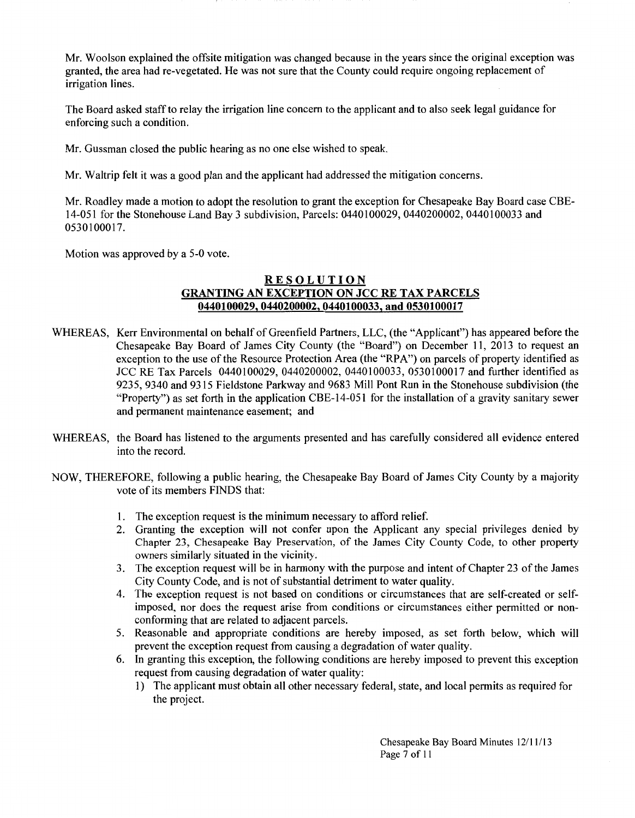Mr. Woolson explained the offsite mitigation was changed because in the years since the original exception was granted, the area had re-vegetated. He was not sure that the County could require ongoing replacement of irrigation lines.

The Board asked staff to relay the irrigation line concern to the applicant and to also seek legal guidance for enforcing such a condition.

Mr. Gussman closed the public hearing as no one else wished to speak.

Mr. Waltrip felt it was a good plan and the applicant had addressed the mitigation concerns.

Mr. Roadley made a motion to adopt the resolution to grant the exception for Chesapeake Bay Board case CBE-14-051 for the Stonehouse Land Bay 3 subdivision, Parcels: 0440100029, 0440200002, 0440100033 and 0530100017.

Motion was approved by a 5-0 vote.

## RESOLUTION GRANTING AN EXCEPTION ON JCC RE TAX PARCELS 0440100029, 0440200002, 0440100033, and 0530100017

- WHEREAS, Kerr Environmental on behalf of Greenfield Partners, LLC, (the "Applicant") has appeared before the Chesapeake Bay Board of James City County (the "Board") on December 11, 2013 to request an exception to the use of the Resource Protection Area (the "RPA") on parcels of property identified as JCC RE Tax Parcels 0440100029, 0440200002, 0440100033, 0530100017 and further identified as 9235, 9340 and 9315 Fieldstone Parkway and 9683 Mill Pont Run in the Stonehouse subdivision (the "Property") as set forth in the application CBE-14-051 for the installation of a gravity sanitary sewer and permanent maintenance easement; and
- WHEREAS, the Board has listened to the arguments presented and has carefully considered all evidence entered into the record.
- NOW, THEREFORE, following a public hearing, the Chesapeake Bay Board of James City County by a majority vote of its members FINDS that:
	- 1. The exception request is the minimum necessary to afford relief.
	- 2. Granting the exception will not confer upon the Applicant any special privileges denied by Chapter 23, Chesapeake Bay Preservation, of the James City County Code, to other property owners similarly situated in the vicinity.
	- 3. The exception request will be in harmony with the purpose and intent of Chapter 23 of the James City County Code, and is not of substantial detriment to water quality.
	- 4. The exception request is not based on conditions or circumstances that are self-created or selfimposed, nor does the request arise from conditions or circumstances either permitted or nonconforming that are related to adjacent parcels.
	- 5. Reasonable and appropriate conditions are hereby imposed, as set forth below, which will prevent the exception request from causing a degradation of water quality.
	- 6. In granting this exception, the following conditions are hereby imposed to prevent this exception request from causing degradation of water quality:
		- 1) The applicant must obtain all other necessary federal, state, and local permits as required for the project.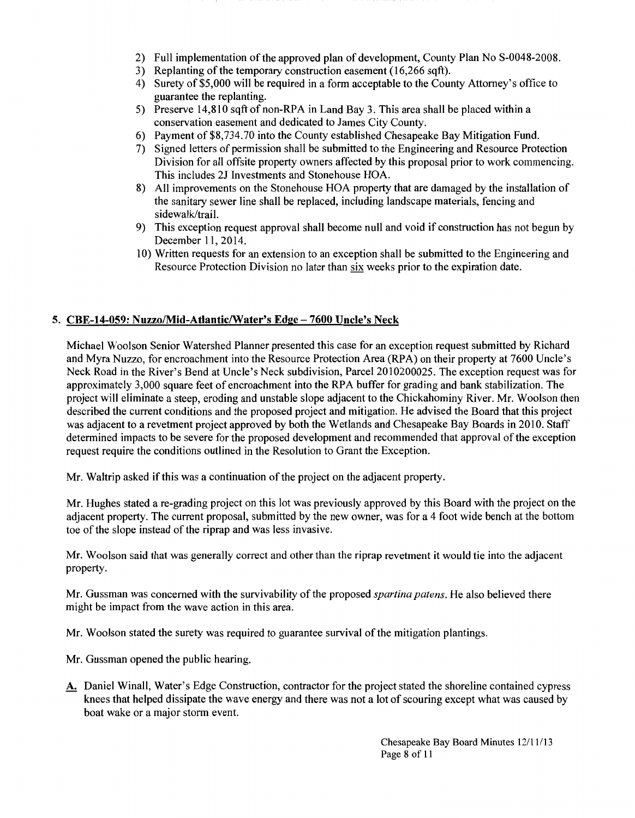- 2) Full implementation of the approved plan of development, County Plan No S-0048-2008.
- 3) Replanting of the temporary construction easement (16,266 sqft).
- 4) Surety of\$5,000 will be required in a form acceptable to the County Attorney's office to guarantee the replanting.
- 5) Preserve  $14,810$  sqft of non-RPA in Land Bay 3. This area shall be placed within a conservation easement and dedicated to James City County.
- 6) Payment of\$8,734.70 into the County established Chesapeake Bay Mitigation Fund.
- 7) Signed letters of permission shall be submitted to the Engineering and Resource Protection Division for all offsite property owners affected by this proposal prior to work commencing. This includes 2J Investments and Stonehouse HOA.
- 8) All improvements on the Stonehouse HOA property that are damaged by the installation of the sanitary sewer line shall be replaced, including landscape materials, fencing and sidewalk/trail.
- 9) This exception request approval shall become null and void if construction has not begun by December 11, 2014.
- 1 0) Written requests for an extension to an exception shall be submitted to the Engineering and Resource Protection Division no later than six weeks prior to the expiration date.

# 5. CBE-14-059: Nuzzo/Mid-Atlantic/Water's Edge- 7600 Uncle's Neck

Michael Woolson Senior Watershed Planner presented this case for an exception request submitted by Richard and Myra Nuzzo, for encroachment into the Resource Protection Area (RPA) on their property at 7600 Uncle's Neck Road in the River's Bend at Uncle's Neck subdivision, Parcel 2010200025. The exception request was for approximately 3,000 square feet of encroachment into the RPA buffer for grading and bank stabilization. The project will eliminate a steep, eroding and unstable slope adjacent to the Chickahominy River. Mr. Woolson then described the current conditions and the proposed project and mitigation. He advised the Board that this project was adjacent to a revetment project approved by both the Wetlands and Chesapeake Bay Boards in 2010. Staff determined impacts to be severe for the proposed development and recommended that approval of the exception request require the conditions outlined in the Resolution to Grant the Exception.

Mr. Waltrip asked if this was a continuation of the project on the adjacent property.

Mr. Hughes stated a re-grading project on this lot was previously approved by this Board with the project on the adjacent property. The current proposal, submitted by the new owner, was for a 4 foot wide bench at the bottom toe of the slope instead of the riprap and was less invasive.

Mr. Woolson said that was generally correct and other than the riprap revetment it would tie into the adjacent property.

Mr. Gussman was concerned with the survivability of the proposed *spartina patens.* He also believed there might be impact from the wave action in this area.

Mr. Woolson stated the surety was required to guarantee survival of the mitigation plantings.

- Mr. Gussman opened the public hearing.
- A. Daniel Winall, Water's Edge Construction, contractor for the project stated the shoreline contained cypress knees that helped dissipate the wave energy and there was not a lot of scouring except what was caused by boat wake or a major storm event.

Chesapeake Bay Board Minutes 12/11/13 Page 8 of 11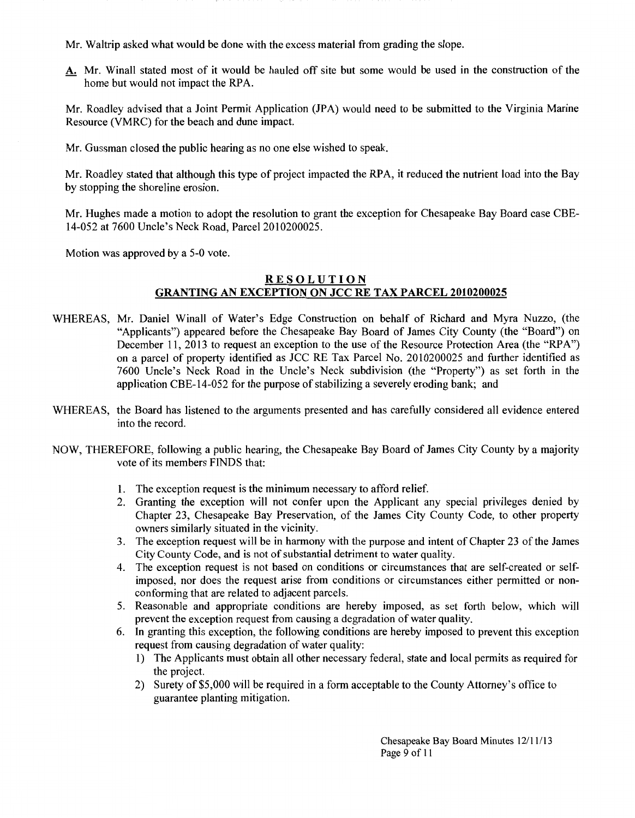Mr. Waltrip asked what would be done with the excess material from grading the slope.

A. Mr. Winall stated most of it would be hauled off site but some would be used in the construction of the home but would not impact the RPA.

Mr. Roadley advised that a Joint Permit Application (JPA) would need to be submitted to the Virginia Marine Resource (VMRC) for the beach and dune impact.

Mr. Gussman closed the public hearing as no one else wished to speak.

Mr. Roadley stated that although this type of project impacted the RPA, it reduced the nutrient load into the Bay by stopping the shoreline erosion.

Mr. Hughes made a motion to adopt the resolution to grant the exception for Chesapeake Bay Board case CBE-14-052 at 7600 Uncle's Neck Road, Parcel 2010200025.

Motion was approved by a 5-0 vote.

# RESOLUTION GRANTING AN EXCEPTION ON JCC RE TAX PARCEL 2010200025

- WHEREAS, Mr. Daniel Winall of Water's Edge Construction on behalf of Richard and Myra Nuzzo, (the "Applicants") appeared before the Chesapeake Bay Board of James City County (the "Board") on December 11, 2013 to request an exception to the use of the Resource Protection Area (the "RPA") on a parcel of property identified as JCC RE Tax Parcel No. 2010200025 and further identified as 7600 Uncle's Neck Road in the Uncle's Neck subdivision (the "Property") as set forth in the application CBE-14-052 for the purpose of stabilizing a severely eroding bank; and
- WHEREAS, the Board has listened to the arguments presented and has carefully considered all evidence entered into the record.
- NOW, THEREFORE, following a public hearing, the Chesapeake Bay Board of James City County by a majority vote of its members FINDS that:
	- 1. The exception request is the minimum necessary to afford relief.
	- 2. Granting the exception will not confer upon the Applicant any special privileges denied by Chapter 23, Chesapeake Bay Preservation, of the James City County Code, to other property owners similarly situated in the vicinity.
	- 3. The exception request will be in harmony with the purpose and intent of Chapter 23 of the James City County Code, and is not of substantial detriment to water quality.
	- 4. The exception request is not based on conditions or circumstances that are self-created or selfimposed, nor does the request arise from conditions or circumstances either permitted or nonconforming that are related to adjacent parcels.
	- 5. Reasonable and appropriate conditions are hereby imposed, as set forth below, which will prevent the exception request from causing a degradation of water quality.
	- 6. In granting this exception, the following conditions are hereby imposed to prevent this exception request from causing degradation of water quality:
		- 1) The Applicants must obtain all other necessary federal, state and local permits as required for the project.
		- 2) Surety of\$5,000 will be required in a form acceptable to the County Attorney's office to guarantee planting mitigation.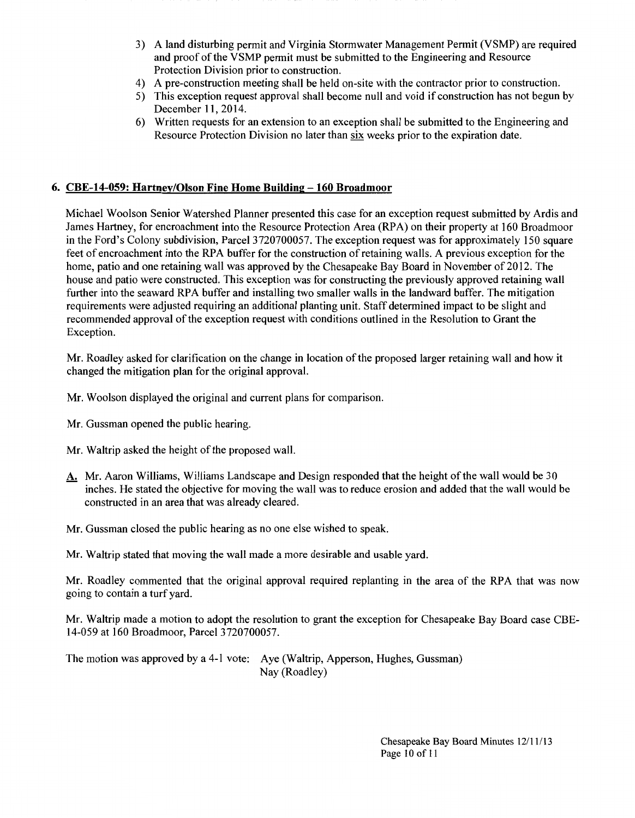- 3) A land disturbing permit and Virginia Stormwater Management Permit (VSMP) are required and proof of the VSMP permit must be submitted to the Engineering and Resource Protection Division prior to construction.
- 4) A pre-construction meeting shall be held on-site with the contractor prior to construction.
- 5) This exception request approval shall become null and void if construction has not begun by December 11, 2014.
- 6) Written requests for an extension to an exception shall be submitted to the Engineering and Resource Protection Division no later than six weeks prior to the expiration date.

## **6. CBE-14-059: Hartney/Oison Fine Home Building -160 Broadmoor**

Michael Woolson Senior Watershed Planner presented this case for an exception request submitted by Ardis and James Hartney, for encroachment into the Resource Protection Area (RPA) on their property at 160 Broadmoor in the Ford's Colony subdivision, Parcel 3720700057. The exception request was for approximately 150 square feet of encroachment into the RPA buffer for the construction of retaining walls. A previous exception for the home, patio and one retaining wall was approved by the Chesapeake Bay Board in November of 2012. The house and patio were constructed. This exception was for constructing the previously approved retaining wall further into the seaward RPA buffer and installing two smaller walls in the landward buffer. The mitigation requirements were adjusted requiring an additional planting unit. Staff determined impact to be slight and recommended approval of the exception request with conditions outlined in the Resolution to Grant the Exception.

Mr. Roadley asked for clarification on the change in location of the proposed larger retaining wall and how it changed the mitigation plan for the original approval.

Mr. Woolson displayed the original and current plans for comparison.

- Mr. Gussman opened the public hearing.
- Mr. Waltrip asked the height of the proposed wall.
- A. Mr. Aaron Williams, Williams Landscape and Design responded that the height of the wall would be 30 inches. He stated the objective for moving the wall was to reduce erosion and added that the wall would be constructed in an area that was already cleared.
- Mr. Gussman closed the public hearing as no one else wished to speak.
- Mr. Waltrip stated that moving the wall made a more desirable and usable yard.

Mr. Roadley commented that the original approval required replanting in the area of the RPA that was now going to contain a turf yard.

Mr. Waltrip made a motion to adopt the resolution to grant the exception for Chesapeake Bay Board case CBE-14-059 at 160 Broadmoor, Parcel3720700057.

The motion was approved by a 4-1 vote: Aye (Waltrip, Apperson, Hughes, Gussman) Nay (Roadley)

> Chesapeake Bay Board Minutes 12/11/13 Page 10 of 11